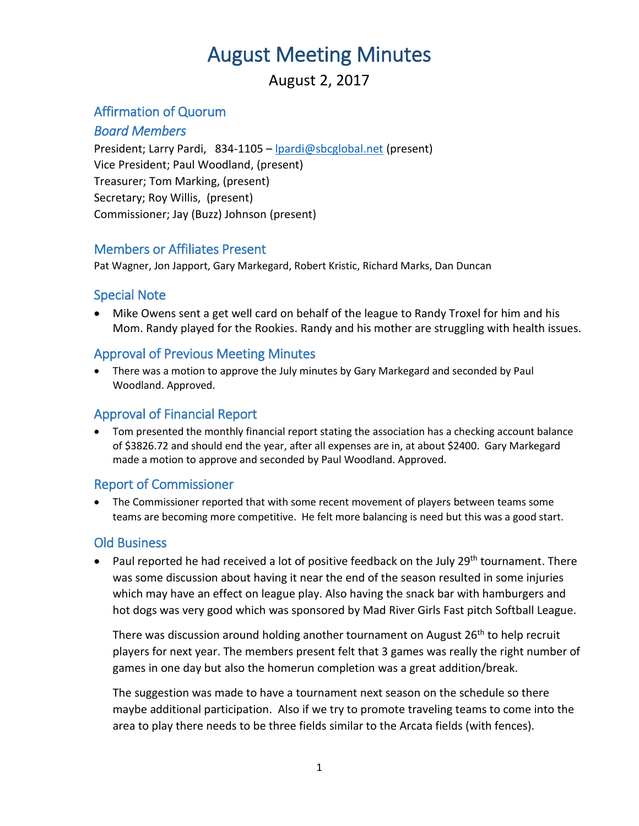# August Meeting Minutes

### August 2, 2017

#### Affirmation of Quorum

#### *Board Members*

President; Larry Pardi, 834-1105 – [lpardi@sbcglobal.net](mailto:lpardi@sbcglobal.net) (present) Vice President; Paul Woodland, (present) Treasurer; Tom Marking, (present) Secretary; Roy Willis, (present) Commissioner; Jay (Buzz) Johnson (present)

#### Members or Affiliates Present

Pat Wagner, Jon Japport, Gary Markegard, Robert Kristic, Richard Marks, Dan Duncan

#### Special Note

 Mike Owens sent a get well card on behalf of the league to Randy Troxel for him and his Mom. Randy played for the Rookies. Randy and his mother are struggling with health issues.

#### Approval of Previous Meeting Minutes

 There was a motion to approve the July minutes by Gary Markegard and seconded by Paul Woodland. Approved.

#### Approval of Financial Report

 Tom presented the monthly financial report stating the association has a checking account balance of \$3826.72 and should end the year, after all expenses are in, at about \$2400. Gary Markegard made a motion to approve and seconded by Paul Woodland. Approved.

#### Report of Commissioner

 The Commissioner reported that with some recent movement of players between teams some teams are becoming more competitive. He felt more balancing is need but this was a good start.

#### Old Business

**Paul reported he had received a lot of positive feedback on the July 29th tournament. There** was some discussion about having it near the end of the season resulted in some injuries which may have an effect on league play. Also having the snack bar with hamburgers and hot dogs was very good which was sponsored by Mad River Girls Fast pitch Softball League.

There was discussion around holding another tournament on August 26<sup>th</sup> to help recruit players for next year. The members present felt that 3 games was really the right number of games in one day but also the homerun completion was a great addition/break.

The suggestion was made to have a tournament next season on the schedule so there maybe additional participation. Also if we try to promote traveling teams to come into the area to play there needs to be three fields similar to the Arcata fields (with fences).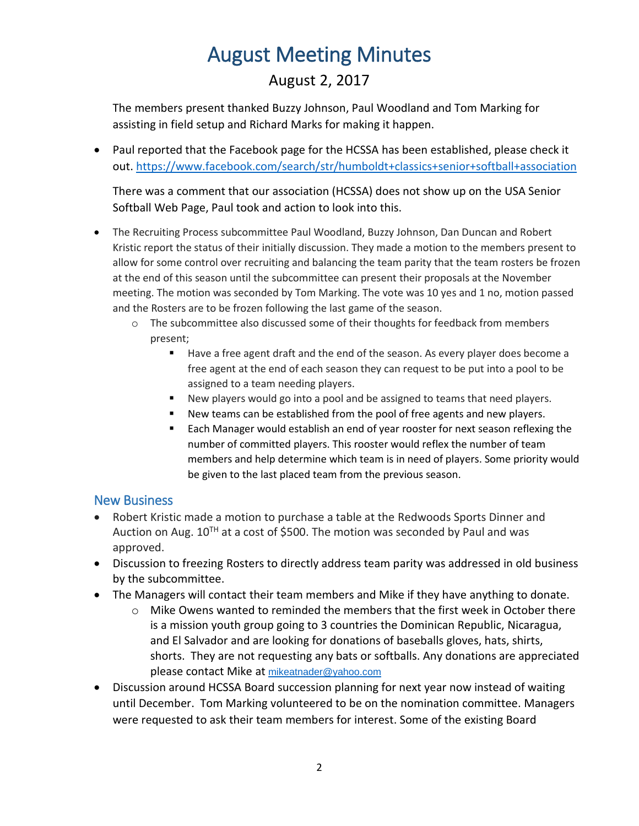# August Meeting Minutes

## August 2, 2017

The members present thanked Buzzy Johnson, Paul Woodland and Tom Marking for assisting in field setup and Richard Marks for making it happen.

• Paul reported that the Facebook page for the HCSSA has been established, please check it out. <https://www.facebook.com/search/str/humboldt+classics+senior+softball+association>

There was a comment that our association (HCSSA) does not show up on the USA Senior Softball Web Page, Paul took and action to look into this.

- The Recruiting Process subcommittee Paul Woodland, Buzzy Johnson, Dan Duncan and Robert Kristic report the status of their initially discussion. They made a motion to the members present to allow for some control over recruiting and balancing the team parity that the team rosters be frozen at the end of this season until the subcommittee can present their proposals at the November meeting. The motion was seconded by Tom Marking. The vote was 10 yes and 1 no, motion passed and the Rosters are to be frozen following the last game of the season.
	- o The subcommittee also discussed some of their thoughts for feedback from members present;
		- Have a free agent draft and the end of the season. As every player does become a free agent at the end of each season they can request to be put into a pool to be assigned to a team needing players.
		- New players would go into a pool and be assigned to teams that need players.
		- New teams can be established from the pool of free agents and new players.
		- Each Manager would establish an end of year rooster for next season reflexing the number of committed players. This rooster would reflex the number of team members and help determine which team is in need of players. Some priority would be given to the last placed team from the previous season.

#### New Business

- Robert Kristic made a motion to purchase a table at the Redwoods Sports Dinner and Auction on Aug.  $10^{TH}$  at a cost of \$500. The motion was seconded by Paul and was approved.
- Discussion to freezing Rosters to directly address team parity was addressed in old business by the subcommittee.
- The Managers will contact their team members and Mike if they have anything to donate.
	- $\circ$  Mike Owens wanted to reminded the members that the first week in October there is a mission youth group going to 3 countries the Dominican Republic, Nicaragua, and El Salvador and are looking for donations of baseballs gloves, hats, shirts, shorts. They are not requesting any bats or softballs. Any donations are appreciated please contact Mike at [mikeatnader@yahoo.com](mailto:mikeatnader@yahoo.com)
- Discussion around HCSSA Board succession planning for next year now instead of waiting until December. Tom Marking volunteered to be on the nomination committee. Managers were requested to ask their team members for interest. Some of the existing Board